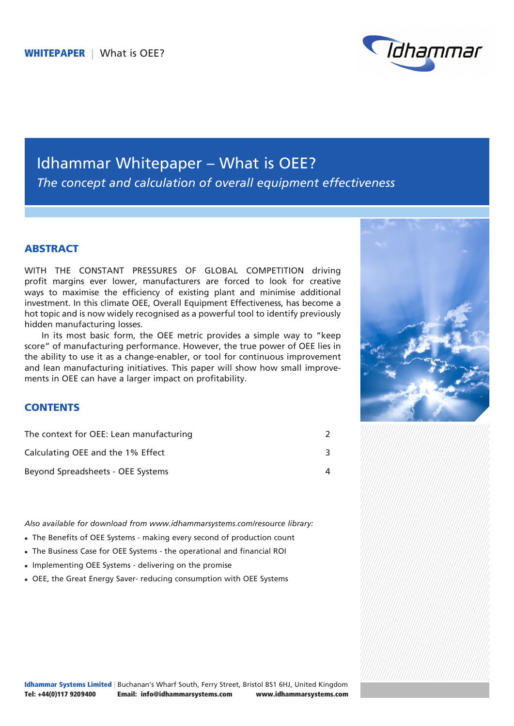

# Idhammar Whitepaper – What is OEE? *The concept and calculation of overall equipment effectiveness*

### **ABSTRACT**

WITH THE CONSTANT PRESSURES OF GLOBAL COMPETITION driving profit margins ever lower, manufacturers are forced to look for creative ways to maximise the efficiency of existing plant and minimise additional investment. In this climate OEE, Overall Equipment Effectiveness, has become a hot topic and is now widely recognised as a powerful tool to identify previously hidden manufacturing losses.

In its most basic form, the OEE metric provides a simple way to "keep score" of manufacturing performance. However, the true power of OEE lies in the ability to use it as a change-enabler, or tool for continuous improvement and lean manufacturing initiatives. This paper will show how small improvements in OEE can have a larger impact on profitability.



# **CONTENTS**

| The context for OEE: Lean manufacturing |  |
|-----------------------------------------|--|
| Calculating OEE and the 1% Effect       |  |
| Beyond Spreadsheets - OEE Systems       |  |

*Also available for download from www.idhammarsystems.com/resource library:*

- The Benefits of OEE Systems making every second of production count
- The Business Case for OEE Systems the operational and financial ROI
- Implementing OEE Systems delivering on the promise
- OEE, the Great Energy Saver- reducing consumption with OEE Systems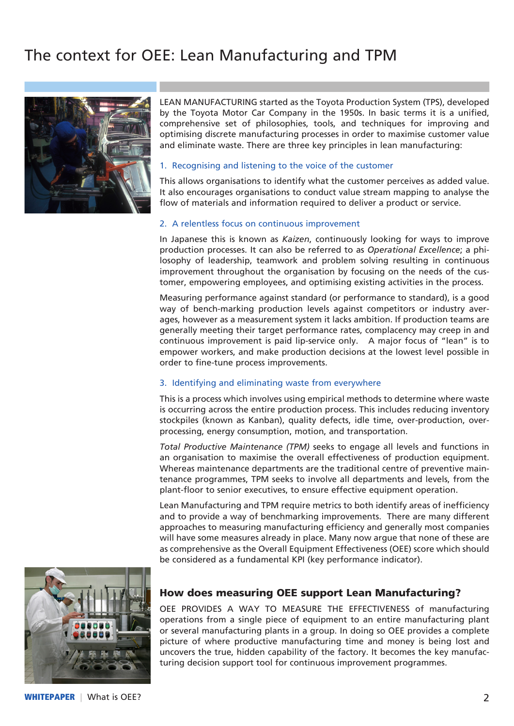# The context for OEE: Lean Manufacturing and TPM



LEAN MANUFACTURING started as the Toyota Production System (TPS), developed by the Toyota Motor Car Company in the 1950s. In basic terms it is a unified, comprehensive set of philosophies, tools, and techniques for improving and optimising discrete manufacturing processes in order to maximise customer value and eliminate waste. There are three key principles in lean manufacturing:

#### 1. Recognising and listening to the voice of the customer

This allows organisations to identify what the customer perceives as added value. It also encourages organisations to conduct value stream mapping to analyse the flow of materials and information required to deliver a product or service.

#### 2. A relentless focus on continuous improvement

In Japanese this is known as *Kaizen*, continuously looking for ways to improve production processes. It can also be referred to as *Operational Excellence*; a philosophy of leadership, teamwork and problem solving resulting in continuous improvement throughout the organisation by focusing on the needs of the customer, empowering employees, and optimising existing activities in the process.

Measuring performance against standard (or performance to standard), is a good way of bench-marking production levels against competitors or industry averages, however as a measurement system it lacks ambition. If production teams are generally meeting their target performance rates, complacency may creep in and continuous improvement is paid lip-service only. A major focus of "lean" is to empower workers, and make production decisions at the lowest level possible in order to fine-tune process improvements.

#### 3. Identifying and eliminating waste from everywhere

This is a process which involves using empirical methods to determine where waste is occurring across the entire production process. This includes reducing inventory stockpiles (known as Kanban), quality defects, idle time, over-production, overprocessing, energy consumption, motion, and transportation.

*Total Productive Maintenance (TPM)* seeks to engage all levels and functions in an organisation to maximise the overall effectiveness of production equipment. Whereas maintenance departments are the traditional centre of preventive maintenance programmes, TPM seeks to involve all departments and levels, from the plant-floor to senior executives, to ensure effective equipment operation.

Lean Manufacturing and TPM require metrics to both identify areas of inefficiency and to provide a way of benchmarking improvements. There are many different approaches to measuring manufacturing efficiency and generally most companies will have some measures already in place. Many now argue that none of these are as comprehensive as the Overall Equipment Effectiveness (OEE) score which should be considered as a fundamental KPI (key performance indicator).



#### How does measuring OEE support Lean Manufacturing?

OEE PROVIDES A WAY TO MEASURE THE EFFECTIVENESS of manufacturing operations from a single piece of equipment to an entire manufacturing plant or several manufacturing plants in a group. In doing so OEE provides a complete picture of where productive manufacturing time and money is being lost and uncovers the true, hidden capability of the factory. It becomes the key manufacturing decision support tool for continuous improvement programmes.

WHITEPAPER | What is OEE? 2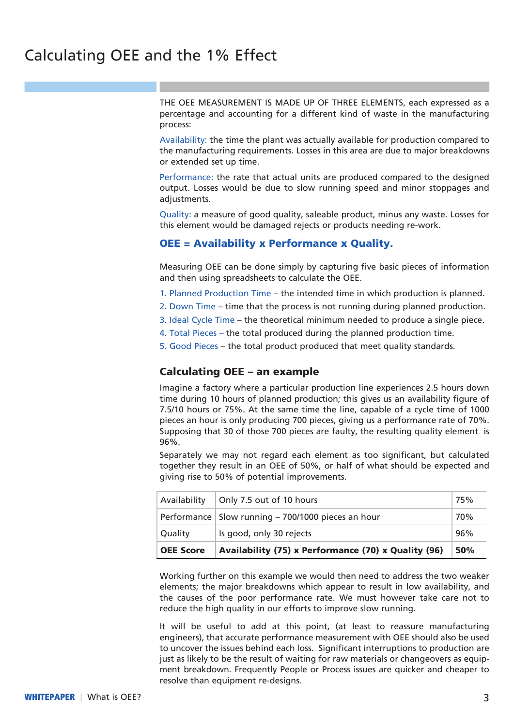THE OEE MEASUREMENT IS MADE UP OF THREE ELEMENTS, each expressed as a percentage and accounting for a different kind of waste in the manufacturing process:

Availability: the time the plant was actually available for production compared to the manufacturing requirements. Losses in this area are due to major breakdowns or extended set up time.

Performance: the rate that actual units are produced compared to the designed output. Losses would be due to slow running speed and minor stoppages and adjustments.

Quality: a measure of good quality, saleable product, minus any waste. Losses for this element would be damaged rejects or products needing re-work.

## OEE = Availability x Performance x Quality.

Measuring OEE can be done simply by capturing five basic pieces of information and then using spreadsheets to calculate the OEE.

- 1. Planned Production Time the intended time in which production is planned.
- 2. Down Time time that the process is not running during planned production.
- 3. Ideal Cycle Time the theoretical minimum needed to produce a single piece.
- 4. Total Pieces the total produced during the planned production time.
- 5. Good Pieces the total product produced that meet quality standards.

#### Calculating OEE – an example

Imagine a factory where a particular production line experiences 2.5 hours down time during 10 hours of planned production; this gives us an availability figure of 7.5/10 hours or 75%. At the same time the line, capable of a cycle time of 1000 pieces an hour is only producing 700 pieces, giving us a performance rate of 70%. Supposing that 30 of those 700 pieces are faulty, the resulting quality element is 96%.

Separately we may not regard each element as too significant, but calculated together they result in an OEE of 50%, or half of what should be expected and giving rise to 50% of potential improvements.

| Availability     | Only 7.5 out of 10 hours                             | 75%        |
|------------------|------------------------------------------------------|------------|
|                  | Performance   Slow running - 700/1000 pieces an hour | 70%        |
| Quality          | Is good, only 30 rejects                             | 96%        |
| <b>OEE Score</b> | Availability (75) x Performance (70) x Quality (96)  | <b>50%</b> |

Working further on this example we would then need to address the two weaker elements; the major breakdowns which appear to result in low availability, and the causes of the poor performance rate. We must however take care not to reduce the high quality in our efforts to improve slow running.

It will be useful to add at this point, (at least to reassure manufacturing engineers), that accurate performance measurement with OEE should also be used to uncover the issues behind each loss. Significant interruptions to production are just as likely to be the result of waiting for raw materials or changeovers as equipment breakdown. Frequently People or Process issues are quicker and cheaper to resolve than equipment re-designs.